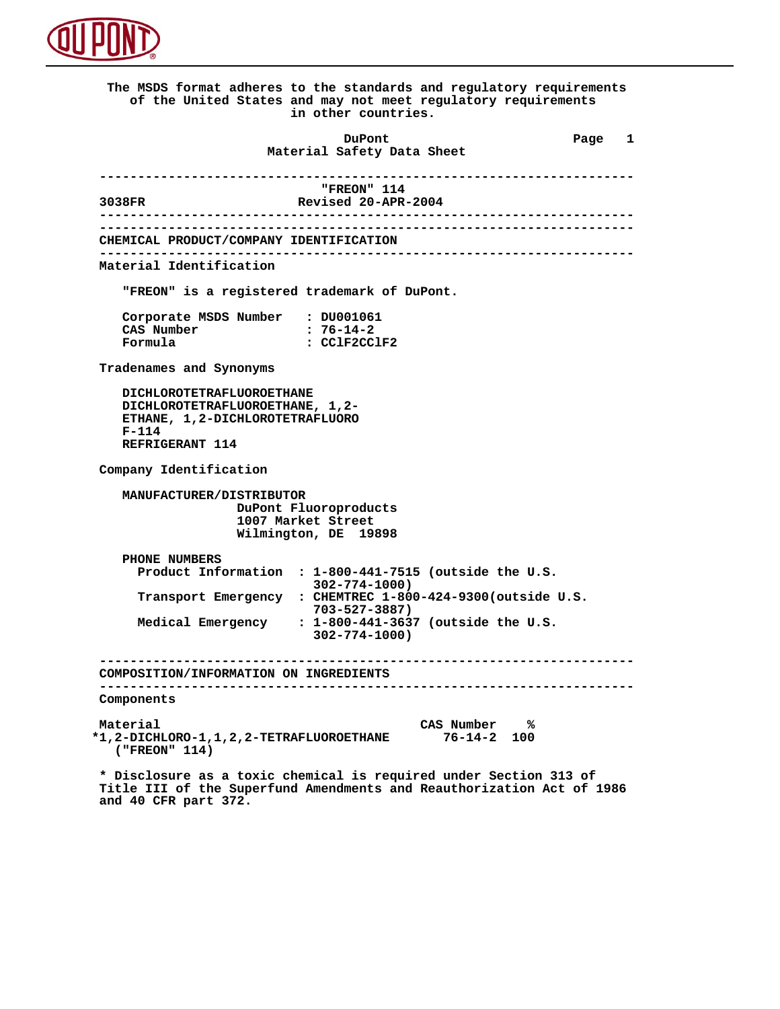

 **The MSDS format adheres to the standards and regulatory requirements of the United States and may not meet regulatory requirements in other countries. DuPont Different Page 1 Material Safety Data Sheet ---------------------------------------------------------------------- FREON"** 114<br> **Revised 20-APR**<br> **Revised 20-APR 3038FR Revised 20-APR-2004 ---------------------------------------------------------------------- ---------------------------------------------------------------------- CHEMICAL PRODUCT/COMPANY IDENTIFICATION ---------------------------------------------------------------------- Material Identification "FREON" is a registered trademark of DuPont. Corporate MSDS Number : DU001061**<br>CAS Number : 76-14-2 CAS Number<br>Formula  **Formula : CClF2CClF2 Tradenames and Synonyms DICHLOROTETRAFLUOROETHANE DICHLOROTETRAFLUOROETHANE, 1,2- ETHANE, 1,2-DICHLOROTETRAFLUORO F-114 REFRIGERANT 114 Company Identification MANUFACTURER/DISTRIBUTOR DuPont Fluoroproducts 1007 Market Street Wilmington, DE 19898 PHONE NUMBERS Product Information : 1-800-441-7515 (outside the U.S. 302-774-1000) Transport Emergency : CHEMTREC 1-800-424-9300(outside U.S. 703-527-3887) Medical Emergency : 1-800-441-3637 (outside the U.S. 302-774-1000) ---------------------------------------------------------------------- COMPOSITION/INFORMATION ON INGREDIENTS ---------------------------------------------------------------------- Components Material CAS Number % \*1,2-DICHLORO-1,1,2,2-TETRAFLUOROETHANE 76-14-2 100 ("FREON" 114) \* Disclosure as a toxic chemical is required under Section 313 of Title III of the Superfund Amendments and Reauthorization Act of 1986**

 **and 40 CFR part 372.**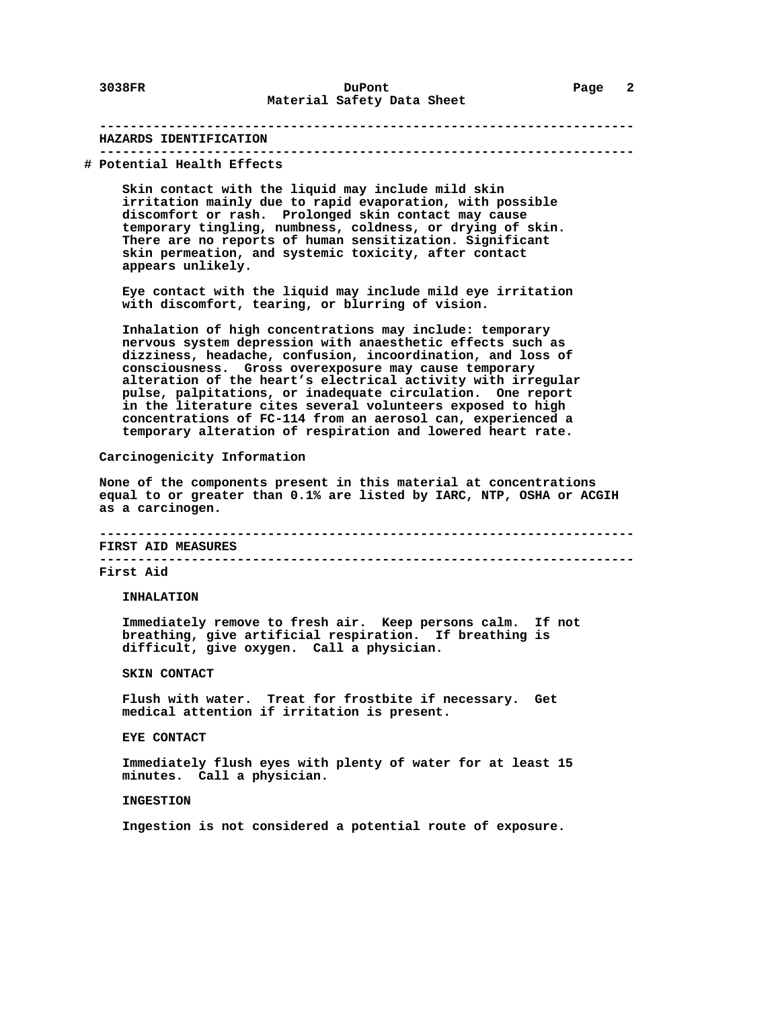#### **---------------------------------------------------------------------- HAZARDS IDENTIFICATION ----------------------------------------------------------------------**

## **# Potential Health Effects**

 **Skin contact with the liquid may include mild skin irritation mainly due to rapid evaporation, with possible discomfort or rash. Prolonged skin contact may cause temporary tingling, numbness, coldness, or drying of skin. There are no reports of human sensitization. Significant skin permeation, and systemic toxicity, after contact appears unlikely.**

 **Eye contact with the liquid may include mild eye irritation with discomfort, tearing, or blurring of vision.**

 **Inhalation of high concentrations may include: temporary nervous system depression with anaesthetic effects such as dizziness, headache, confusion, incoordination, and loss of consciousness. Gross overexposure may cause temporary alteration of the heart's electrical activity with irregular pulse, palpitations, or inadequate circulation. One report in the literature cites several volunteers exposed to high concentrations of FC-114 from an aerosol can, experienced a temporary alteration of respiration and lowered heart rate.**

#### **Carcinogenicity Information**

 **None of the components present in this material at concentrations equal to or greater than 0.1% are listed by IARC, NTP, OSHA or ACGIH as a carcinogen.**

 **---------------------------------------------------------------------- FIRST AID MEASURES**

 **----------------------------------------------------------------------**

#### **First Aid**

 **INHALATION**

 **Immediately remove to fresh air. Keep persons calm. If not breathing, give artificial respiration. If breathing is difficult, give oxygen. Call a physician.**

## **SKIN CONTACT**

 **Flush with water. Treat for frostbite if necessary. Get medical attention if irritation is present.**

## **EYE CONTACT**

 **Immediately flush eyes with plenty of water for at least 15 minutes. Call a physician.**

#### **INGESTION**

 **Ingestion is not considered a potential route of exposure.**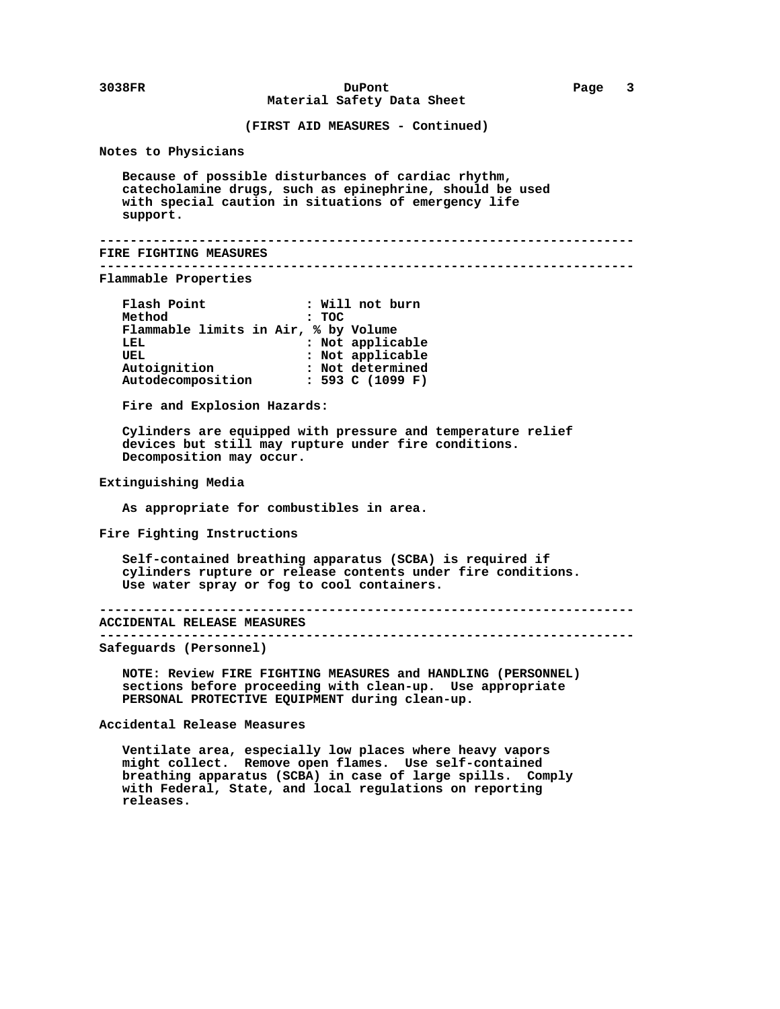**(FIRST AID MEASURES - Continued)**

 **Notes to Physicians**

 **Because of possible disturbances of cardiac rhythm, catecholamine drugs, such as epinephrine, should be used with special caution in situations of emergency life support.**

```
 ----------------------------------------------------------------------
 ----------------------------------------------------------------------
```
 **FIRE FIGHTING MEASURES**

 **Flammable Properties**

| Flash Point                          | : Will not burn  |
|--------------------------------------|------------------|
| Method                               | : TOC            |
| Flammable limits in Air, % by Volume |                  |
| LEL                                  | : Not applicable |
| UEL                                  | : Not applicable |
| Autoignition                         | : Not determined |
| Autodecomposition                    | : 593 C (1099 F) |

 **Fire and Explosion Hazards:**

 **Cylinders are equipped with pressure and temperature relief devices but still may rupture under fire conditions. Decomposition may occur.**

 **Extinguishing Media**

 **As appropriate for combustibles in area.**

 **Fire Fighting Instructions**

 **Self-contained breathing apparatus (SCBA) is required if cylinders rupture or release contents under fire conditions. Use water spray or fog to cool containers.**

```
 ----------------------------------------------------------------------
```
 **ACCIDENTAL RELEASE MEASURES**

```
 ----------------------------------------------------------------------
```
 **Safeguards (Personnel)**

 **NOTE: Review FIRE FIGHTING MEASURES and HANDLING (PERSONNEL) sections before proceeding with clean-up. Use appropriate PERSONAL PROTECTIVE EQUIPMENT during clean-up.**

 **Accidental Release Measures**

 **Ventilate area, especially low places where heavy vapors might collect. Remove open flames. Use self-contained breathing apparatus (SCBA) in case of large spills. Comply with Federal, State, and local regulations on reporting releases.**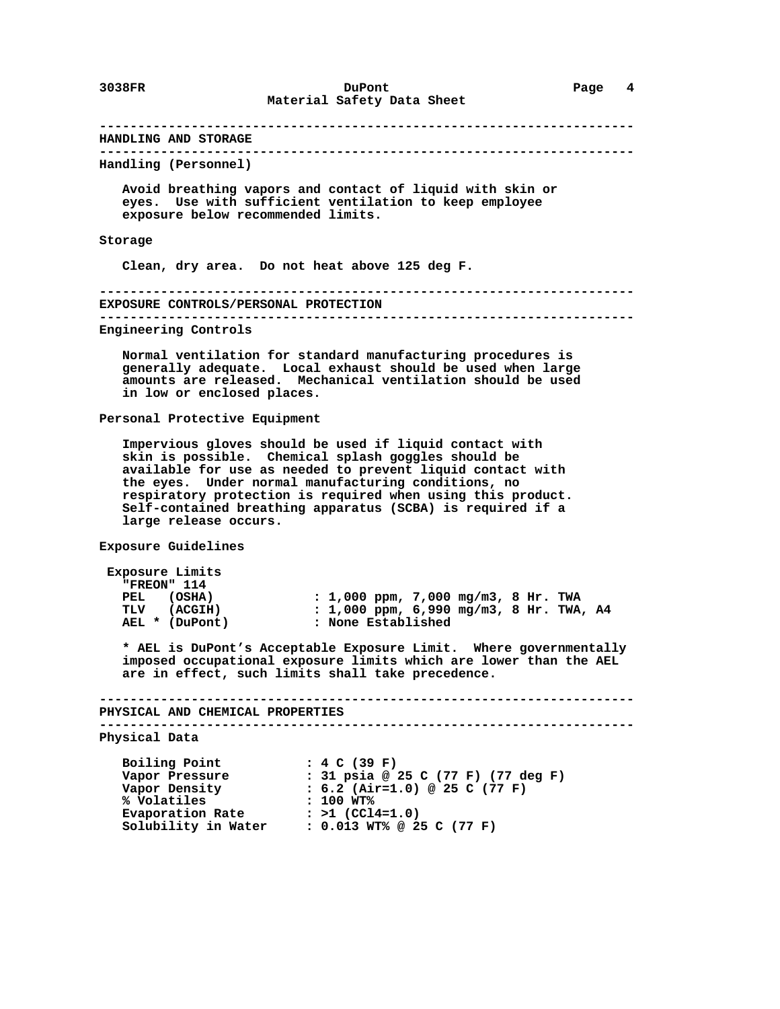# **---------------------------------------------------------------------- HANDLING AND STORAGE ---------------------------------------------------------------------- Handling (Personnel) Avoid breathing vapors and contact of liquid with skin or eyes. Use with sufficient ventilation to keep employee exposure below recommended limits. Storage Clean, dry area. Do not heat above 125 deg F. ---------------------------------------------------------------------- EXPOSURE CONTROLS/PERSONAL PROTECTION ---------------------------------------------------------------------- Engineering Controls Normal ventilation for standard manufacturing procedures is generally adequate. Local exhaust should be used when large amounts are released. Mechanical ventilation should be used in low or enclosed places. Personal Protective Equipment Impervious gloves should be used if liquid contact with skin is possible. Chemical splash goggles should be available for use as needed to prevent liquid contact with the eyes. Under normal manufacturing conditions, no respiratory protection is required when using this product. Self-contained breathing apparatus (SCBA) is required if a large release occurs. Exposure Guidelines Exposure Limits "FREON" 114**

| PEL (OSHA) |                | : $1,000$ ppm, $7,000$ mg/m3, 8 Hr. TWA |  |  |  |
|------------|----------------|-----------------------------------------|--|--|--|
|            | TLV (ACGIH)    | : 1,000 ppm, 6,990 mg/m3, 8 Hr. TWA, A4 |  |  |  |
|            | AEL * (DuPont) | : None Established                      |  |  |  |

 **\* AEL is DuPont's Acceptable Exposure Limit. Where governmentally imposed occupational exposure limits which are lower than the AEL are in effect, such limits shall take precedence.**

 **---------------------------------------------------------------------- PHYSICAL AND CHEMICAL PROPERTIES**

 **----------------------------------------------------------------------**

 **Physical Data**

```
 Boiling Point : 4 C (39 F)
 Vapor Pressure : 31 psia @ 25 C (77 F) (77 deg F)
 Vapor Density : 6.2 (Air=1.0) @ 25 C (77 F)
 % Volatiles : 100 WT%
Evaporation Rate : >1 (CCl4=1.0)
 Solubility in Water : 0.013 WT% @ 25 C (77 F)
```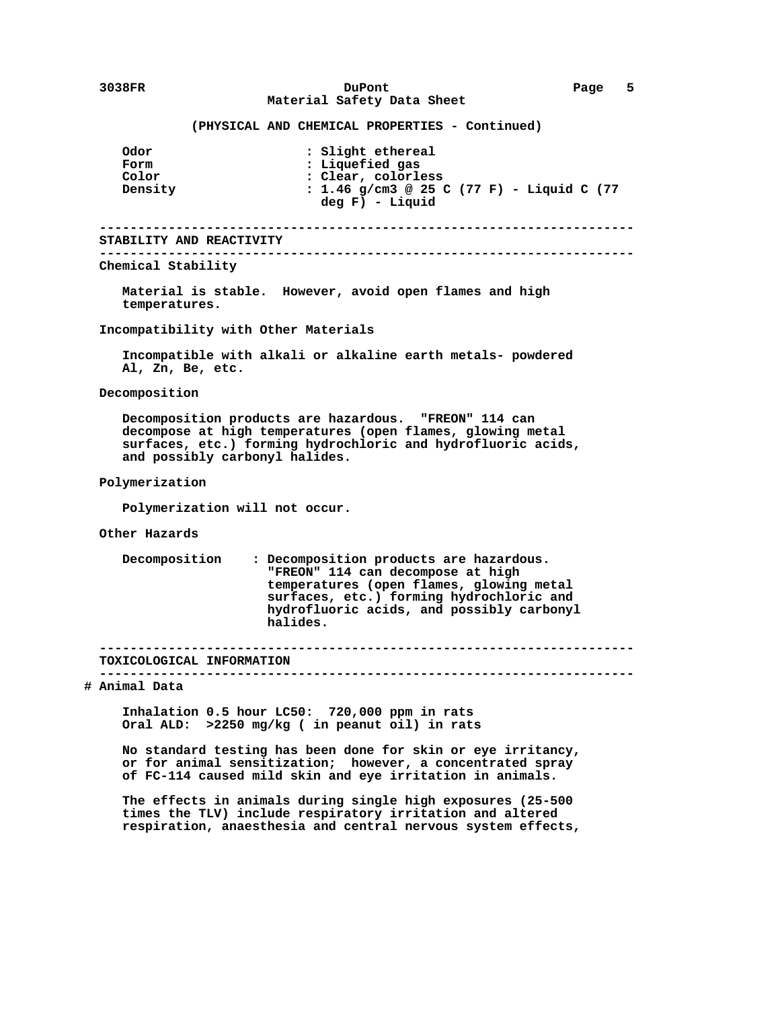## **3038FR DuPont Page 5 Material Safety Data Sheet**

## **(PHYSICAL AND CHEMICAL PROPERTIES - Continued)**

| <b>Odor</b><br>Form<br>Color<br>Density                | : Slight ethereal<br>: Liquefied gas<br>: Clear, colorless<br>: 1.46 g/cm3 @ 25 C (77 F) - Liquid C (77<br>deg F) - Liquid                                                                                                    |  |  |  |  |  |  |  |
|--------------------------------------------------------|-------------------------------------------------------------------------------------------------------------------------------------------------------------------------------------------------------------------------------|--|--|--|--|--|--|--|
| STABILITY AND REACTIVITY                               | ----------------------------------                                                                                                                                                                                            |  |  |  |  |  |  |  |
| Chemical Stability                                     |                                                                                                                                                                                                                               |  |  |  |  |  |  |  |
| temperatures.                                          | Material is stable. However, avoid open flames and high                                                                                                                                                                       |  |  |  |  |  |  |  |
|                                                        | Incompatibility with Other Materials                                                                                                                                                                                          |  |  |  |  |  |  |  |
| Al, Zn, Be, etc.                                       | Incompatible with alkali or alkaline earth metals- powdered                                                                                                                                                                   |  |  |  |  |  |  |  |
| Decomposition                                          |                                                                                                                                                                                                                               |  |  |  |  |  |  |  |
|                                                        | Decomposition products are hazardous. "FREON" 114 can<br>decompose at high temperatures (open flames, glowing metal<br>surfaces, etc.) forming hydrochloric and hydrofluoric acids,<br>and possibly carbonyl halides.         |  |  |  |  |  |  |  |
| Polymerization                                         |                                                                                                                                                                                                                               |  |  |  |  |  |  |  |
|                                                        | Polymerization will not occur.                                                                                                                                                                                                |  |  |  |  |  |  |  |
| Other Hazards                                          |                                                                                                                                                                                                                               |  |  |  |  |  |  |  |
| Decomposition                                          | : Decomposition products are hazardous.<br>"FREON" 114 can decompose at high<br>temperatures (open flames, glowing metal<br>surfaces, etc.) forming hydrochloric and<br>hydrofluoric acids, and possibly carbonyl<br>halides. |  |  |  |  |  |  |  |
| TOXICOLOGICAL INFORMATION                              |                                                                                                                                                                                                                               |  |  |  |  |  |  |  |
| . _ _ _ _ _ _ _ _ _ _ _ _ _ _ _ _ _ _<br># Animal Data |                                                                                                                                                                                                                               |  |  |  |  |  |  |  |
|                                                        | Inhalation 0.5 hour LC50: 720,000 ppm in rats<br>Oral ALD: >2250 mg/kg ( in peanut oil) in rats                                                                                                                               |  |  |  |  |  |  |  |
|                                                        | No standard testing has been done for skin or eye irritancy,<br>or for animal sensitization; however, a concentrated spray<br>of FC-114 caused mild skin and eye irritation in animals.                                       |  |  |  |  |  |  |  |
|                                                        | The effects in animals during single high exposures (25-500<br>times the TLV) include respiratory irritation and altered<br>respiration, anaesthesia and central nervous system effects,                                      |  |  |  |  |  |  |  |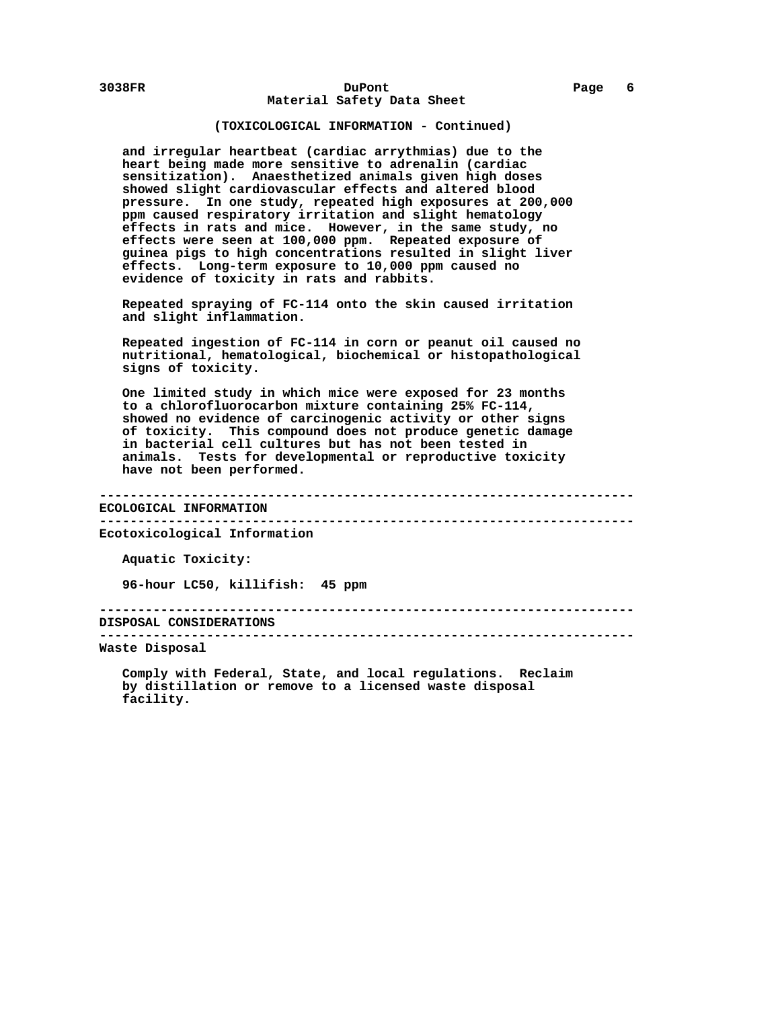## **(TOXICOLOGICAL INFORMATION - Continued)**

 **and irregular heartbeat (cardiac arrythmias) due to the heart being made more sensitive to adrenalin (cardiac sensitization). Anaesthetized animals given high doses showed slight cardiovascular effects and altered blood pressure. In one study, repeated high exposures at 200,000 ppm caused respiratory irritation and slight hematology effects in rats and mice. However, in the same study, no effects were seen at 100,000 ppm. Repeated exposure of guinea pigs to high concentrations resulted in slight liver effects. Long-term exposure to 10,000 ppm caused no evidence of toxicity in rats and rabbits.**

 **Repeated spraying of FC-114 onto the skin caused irritation and slight inflammation.**

 **Repeated ingestion of FC-114 in corn or peanut oil caused no nutritional, hematological, biochemical or histopathological signs of toxicity.**

 **One limited study in which mice were exposed for 23 months to a chlorofluorocarbon mixture containing 25% FC-114, showed no evidence of carcinogenic activity or other signs of toxicity. This compound does not produce genetic damage in bacterial cell cultures but has not been tested in animals. Tests for developmental or reproductive toxicity have not been performed.**

 **---------------------------------------------------------------------- ECOLOGICAL INFORMATION ----------------------------------------------------------------------**

 **Ecotoxicological Information**

 **Aquatic Toxicity:**

 **96-hour LC50, killifish: 45 ppm**

 **---------------------------------------------------------------------- DISPOSAL CONSIDERATIONS**

 **----------------------------------------------------------------------**

 **Waste Disposal**

 **Comply with Federal, State, and local regulations. Reclaim by distillation or remove to a licensed waste disposal facility.**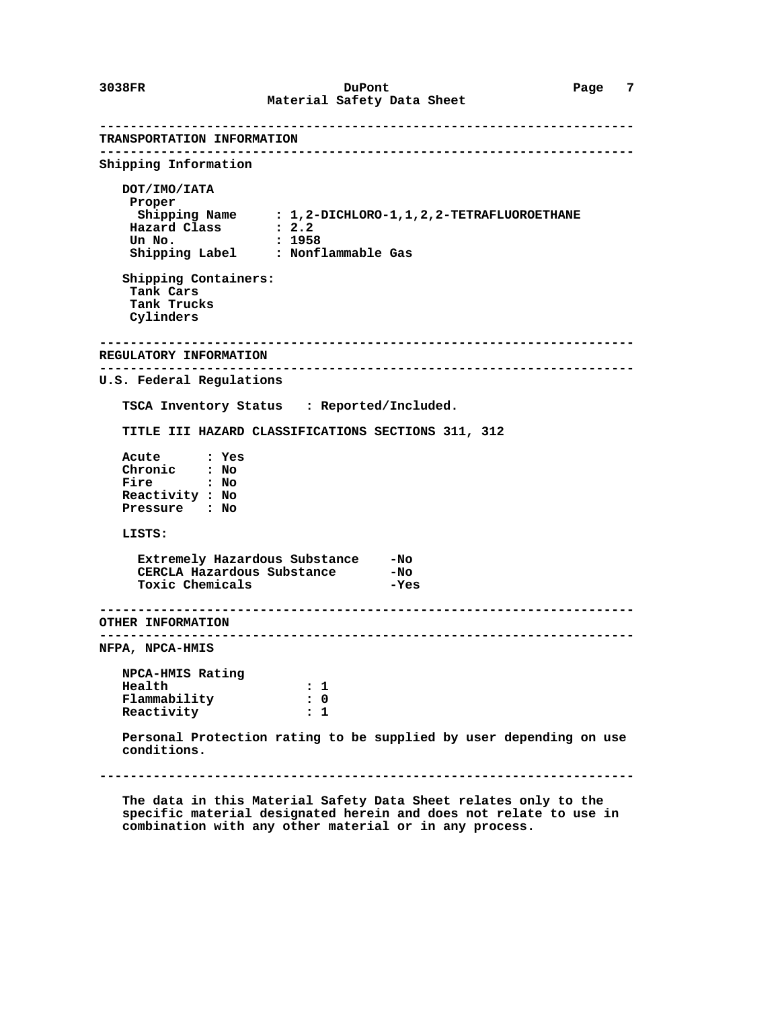**---------------------------------------------------------------------- TRANSPORTATION INFORMATION ---------------------------------------------------------------------- Shipping Information DOT/IMO/IATA Proper Shipping Name : 1,2-DICHLORO-1,1,2,2-TETRAFLUOROETHANE Hazard Class : 2.2 Un No. : 1958 Shipping Label : Nonflammable Gas Shipping Containers: Tank Cars Tank Trucks Cylinders ---------------------------------------------------------------------- REGULATORY INFORMATION ---------------------------------------------------------------------- U.S. Federal Regulations TSCA Inventory Status : Reported/Included. TITLE III HAZARD CLASSIFICATIONS SECTIONS 311, 312 Acute : Yes Chronic : No Fire : No Reactivity : No Pressure : No LISTS: Extremely Hazardous Substance -No CERCLA Hazardous Substance -No** Toxic Chemicals **-Yes ---------------------------------------------------------------------- OTHER INFORMATION ---------------------------------------------------------------------- NFPA, NPCA-HMIS NPCA-HMIS Rating Flammability** : 1<br>**Flammability** : 0 Flammability : 0<br>Reactivity : 1  **Reactivity : 1 Personal Protection rating to be supplied by user depending on use conditions. ----------------------------------------------------------------------**

 **The data in this Material Safety Data Sheet relates only to the specific material designated herein and does not relate to use in combination with any other material or in any process.**